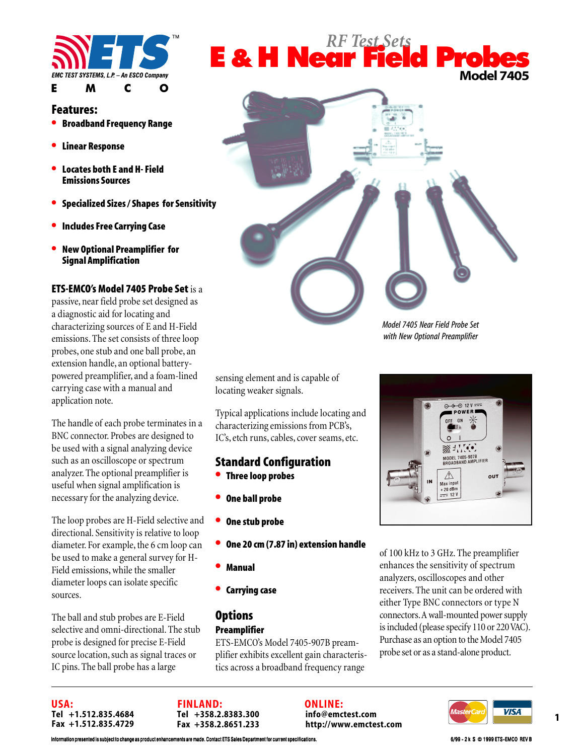

### **Features:**

- **Broadband Frequency Range**
- **Linear Response**
- **Locates both E and H- Field Emissions Sources**
- **Specialized Sizes / Shapes for Sensitivity**
- **Includes Free Carrying Case**
- **New Optional Preamplifier for Signal Amplification**

### **ETS-EMCO's Model 7405 Probe Set** is a

passive, near field probe set designed as a diagnostic aid for locating and characterizing sources of E and H-Field emissions. The set consists of three loop probes, one stub and one ball probe, an extension handle, an optional batterypowered preamplifier, and a foam-lined carrying case with a manual and application note.

The handle of each probe terminates in a BNC connector. Probes are designed to be used with a signal analyzing device such as an oscilloscope or spectrum analyzer. The optional preamplifier is useful when signal amplification is necessary for the analyzing device.

The loop probes are H-Field selective and directional. Sensitivity is relative to loop diameter. For example, the 6 cm loop can be used to make a general survey for H-Field emissions, while the smaller diameter loops can isolate specific sources.

The ball and stub probes are E-Field selective and omni-directional. The stub probe is designed for precise E-Field source location, such as signal traces or IC pins. The ball probe has a large





*Model 7405 Near Field Probe Set with New Optional Preamplifier*

sensing element and is capable of locating weaker signals.

Typical applications include locating and characterizing emissions from PCB's, IC's, etch runs, cables, cover seams, etc.

### **Standard Configuration**

- **Three loop probes**
- **One ball probe**
- **One stub probe**
- **One 20 cm (7.87 in) extension handle**
- **Manual**
- **Carrying case**

### **Options Preamplifier**

ETS-EMCO's Model 7405-907B preamplifier exhibits excellent gain characteristics across a broadband frequency range



of 100 kHz to 3 GHz. The preamplifier enhances the sensitivity of spectrum analyzers, oscilloscopes and other receivers. The unit can be ordered with either Type BNC connectors or type N connectors. A wall-mounted power supply is included (please specify 110 or 220 VAC). Purchase as an option to the Model 7405 probe set or as a stand-alone product.

**USA: Tel +1.512.835.4684 Fax +1.512.835.4729**

**FINLAND: Tel +358.2.8383.300 Fax +358.2.8651.233** **ONLINE: info@emctest.com http://www.emctest.com**



ation presented is subject to change as product enhancements are made. Contact ETS Sales Department for current specifications. 6/99 - 2 k S © 1999 ETS-EMCO REV B